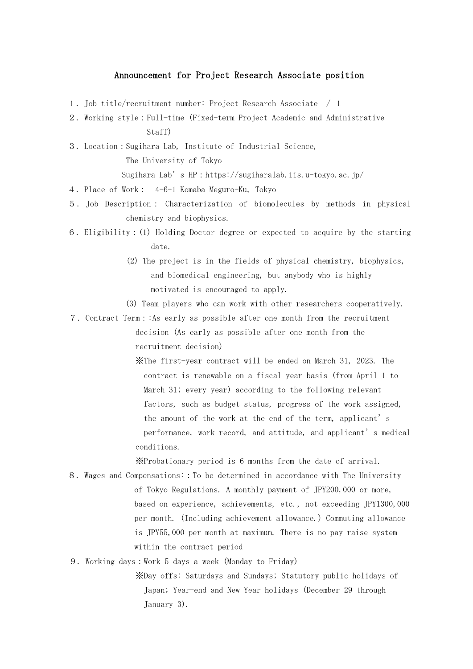## Announcement for Project Research Associate position

- 1.Job title/recruitment number: Project Research Associate / 1
- 2.Working style:Full-time (Fixed-term Project Academic and Administrative Staff)
- 3.Location:Sugihara Lab, Institute of Industrial Science, The University of Tokyo

Sugihara Lab's HP:https://sugiharalab.iis.u-tokyo.ac.jp/

- 4.Place of Work: 4-6-1 Komaba Meguro-Ku, Tokyo
- 5.Job Description: Characterization of biomolecules by methods in physical chemistry and biophysics.
- 6.Eligibility:(1) Holding Doctor degree or expected to acquire by the starting date.
	- (2) The project is in the fields of physical chemistry, biophysics, and biomedical engineering, but anybody who is highly motivated is encouraged to apply.
	- (3) Team players who can work with other researchers cooperatively.
- 7.Contract Term::As early as possible after one month from the recruitment

decision (As early as possible after one month from the recruitment decision)

※The first-year contract will be ended on March 31, 2023. The contract is renewable on a fiscal year basis (from April 1 to March 31; every year) according to the following relevant factors, such as budget status, progress of the work assigned, the amount of the work at the end of the term, applicant's performance, work record, and attitude, and applicant's medical conditions.

※Probationary period is 6 months from the date of arrival.

- 8.Wages and Compensations::To be determined in accordance with The University of Tokyo Regulations. A monthly payment of JPY200,000 or more, based on experience, achievements, etc., not exceeding JPY1300,000 per month. (Including achievement allowance.) Commuting allowance is JPY55,000 per month at maximum. There is no pay raise system within the contract period
- 9. Working days:Work 5 days a week (Monday to Friday)

※Day offs: Saturdays and Sundays; Statutory public holidays of Japan; Year-end and New Year holidays (December 29 through January 3).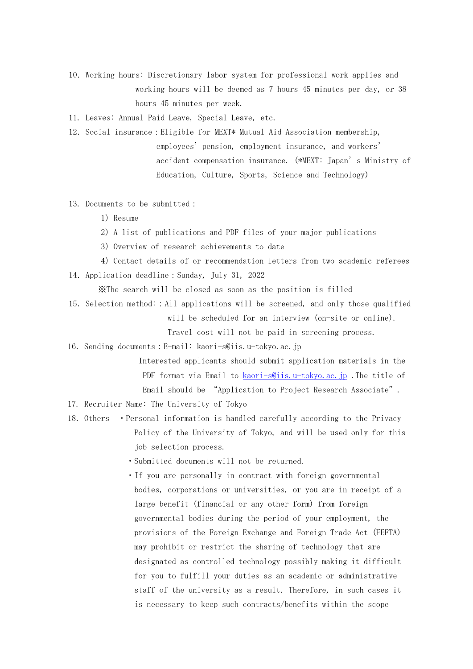10.Working hours: Discretionary labor system for professional work applies and working hours will be deemed as 7 hours 45 minutes per day, or 38 hours 45 minutes per week.

11. Leaves: Annual Paid Leave, Special Leave, etc.

- 12.Social insurance:Eligible for MEXT\* Mutual Aid Association membership, employees' pension, employment insurance, and workers' accident compensation insurance. (\*MEXT: Japan's Ministry of Education, Culture, Sports, Science and Technology)
- 13. Documents to be submitted:
	- 1) Resume
	- 2)A list of publications and PDF files of your major publications
	- 3) Overview of research achievements to date
- 4) Contact details of or recommendation letters from two academic referees 14.Application deadline:Sunday, July 31, 2022

※The search will be closed as soon as the position is filled

15.Selection method::All applications will be screened, and only those qualified will be scheduled for an interview (on-site or online).

Travel cost will not be paid in screening process.

16.Sending documents:E-mail: kaori-s@iis.u-tokyo.ac.jp

 Interested applicants should submit application materials in the PDF format via Email to [kaori-s@iis.u-tokyo.ac.jp](mailto:kaori-s@iis.u-tokyo.ac.jp) .The title of Email should be "Application to Project Research Associate".

17. Recruiter Name: The University of Tokyo

- 18. Others Personal information is handled carefully according to the Privacy Policy of the University of Tokyo, and will be used only for this job selection process.
	- ・Submitted documents will not be returned.
	- ・If you are personally in contract with foreign governmental bodies, corporations or universities, or you are in receipt of a large benefit (financial or any other form) from foreign governmental bodies during the period of your employment, the provisions of the Foreign Exchange and Foreign Trade Act (FEFTA) may prohibit or restrict the sharing of technology that are designated as controlled technology possibly making it difficult for you to fulfill your duties as an academic or administrative staff of the university as a result. Therefore, in such cases it is necessary to keep such contracts/benefits within the scope